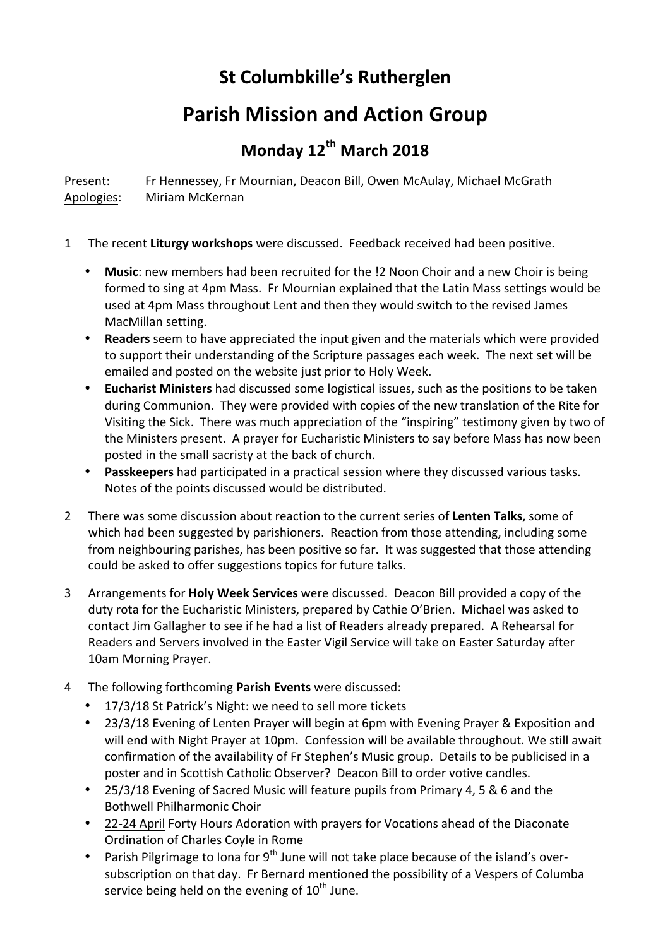## **St Columbkille's Rutherglen**

## **Parish Mission and Action Group**

## **Monday 12th March 2018**

Present: Fr Hennessey, Fr Mournian, Deacon Bill, Owen McAulay, Michael McGrath Apologies: Miriam McKernan

- 1 The recent **Liturgy workshops** were discussed. Feedback received had been positive.
	- Music: new members had been recruited for the !2 Noon Choir and a new Choir is being formed to sing at 4pm Mass. Fr Mournian explained that the Latin Mass settings would be used at 4pm Mass throughout Lent and then they would switch to the revised James MacMillan setting.
	- **Readers** seem to have appreciated the input given and the materials which were provided to support their understanding of the Scripture passages each week. The next set will be emailed and posted on the website just prior to Holy Week.
	- Eucharist Ministers had discussed some logistical issues, such as the positions to be taken during Communion. They were provided with copies of the new translation of the Rite for Visiting the Sick. There was much appreciation of the "inspiring" testimony given by two of the Ministers present. A prayer for Eucharistic Ministers to say before Mass has now been posted in the small sacristy at the back of church.
	- Passkeepers had participated in a practical session where they discussed various tasks. Notes of the points discussed would be distributed.
- 2 There was some discussion about reaction to the current series of Lenten Talks, some of which had been suggested by parishioners. Reaction from those attending, including some from neighbouring parishes, has been positive so far. It was suggested that those attending could be asked to offer suggestions topics for future talks.
- 3 Arrangements for **Holy Week Services** were discussed. Deacon Bill provided a copy of the duty rota for the Eucharistic Ministers, prepared by Cathie O'Brien. Michael was asked to contact Jim Gallagher to see if he had a list of Readers already prepared. A Rehearsal for Readers and Servers involved in the Easter Vigil Service will take on Easter Saturday after 10am Morning Prayer.
- 4 The following forthcoming Parish Events were discussed:
	- 17/3/18 St Patrick's Night: we need to sell more tickets
	- 23/3/18 Evening of Lenten Prayer will begin at 6pm with Evening Prayer & Exposition and will end with Night Prayer at 10pm. Confession will be available throughout. We still await confirmation of the availability of Fr Stephen's Music group. Details to be publicised in a poster and in Scottish Catholic Observer? Deacon Bill to order votive candles.
	- 25/3/18 Evening of Sacred Music will feature pupils from Primary 4, 5 & 6 and the Bothwell Philharmonic Choir
	- 22-24 April Forty Hours Adoration with prayers for Vocations ahead of the Diaconate Ordination of Charles Coyle in Rome
	- Parish Pilgrimage to lona for  $9^{th}$  June will not take place because of the island's oversubscription on that day. Fr Bernard mentioned the possibility of a Vespers of Columba service being held on the evening of  $10^{th}$  June.